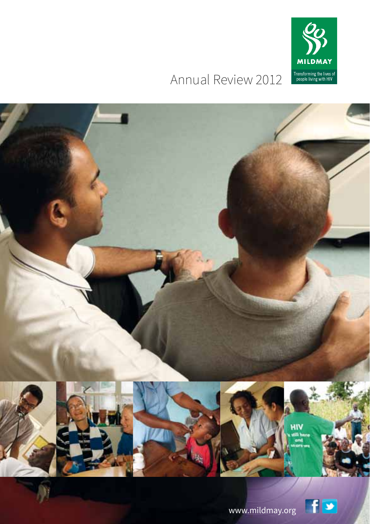

# Annual Review 2012

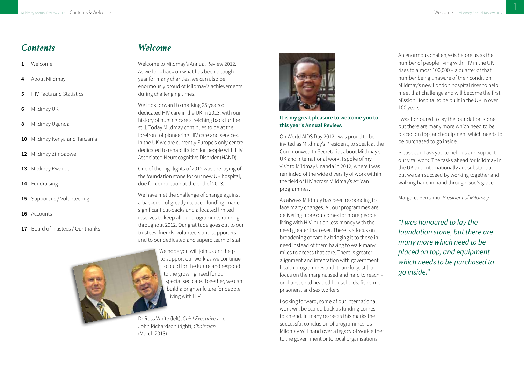## *Contents*

- **1** Welcome
- **4** About Mildmay
- **5** HIV Facts and Statistics
- **6** Mildmay UK
- **8** Mildmay Uganda
- **10** Mildmay Kenya and Tanzania
- **12** Mildmay Zimbabwe
- **13** Mildmay Rwanda
- **14** Fundraising
- **15** Support us / Volunteering
- **16** Accounts
- **17** Board of Trustees / Our thanks

### *Welcome*

Welcome to Mildmay's Annual Review 2012. As we look back on what has been a tough year for many charities, we can also be enormously proud of Mildmay's achievements during challenging times.

We look forward to marking 25 years of dedicated HIV care in the UK in 2013, with our history of nursing care stretching back further still. Today Mildmay continues to be at the forefront of pioneering HIV care and services. In the UK we are currently Europe's only centre dedicated to rehabilitation for people with HIV Associated Neurocognitive Disorder (HAND).

One of the highlights of 2012 was the laying of the foundation stone for our new UK hospital, due for completion at the end of 2013.

We have met the challenge of change against a backdrop of greatly reduced funding, made significant cut-backs and allocated limited reserves to keep all our programmes running throughout 2012. Our gratitude goes out to our trustees, friends, volunteers and supporters and to our dedicated and superb team of staff.

> We hope you will join us and help to support our work as we continue to build for the future and respond to the growing need for our specialised care. Together, we can build a brighter future for people living with HIV.

Dr Ross White (left), *Chief Executive* and John Richardson (right), *Chairman* (March 2013)



#### **It is my great pleasure to welcome you to this year's Annual Review.**

On World AIDS Day 2012 I was proud to be invited as Mildmay's President, to speak at the Commonwealth Secretariat about Mildmay's UK and International work. I spoke of my visit to Mildmay Uganda in 2012, where I was reminded of the wide diversity of work within the field of HIV across Mildmay's African programmes.

As always Mildmay has been responding to face many changes. All our programmes are delivering more outcomes for more people living with HIV, but on less money with the need greater than ever. There is a focus on broadening of care by bringing it to those in need instead of them having to walk many miles to access that care. There is greater alignment and integration with government health programmes and, thankfully, still a focus on the marginalised and hard to reach – orphans, child headed households, fishermen prisoners, and sex workers.

Looking forward, some of our international work will be scaled back as funding comes to an end. In many respects this marks the successful conclusion of programmes, as Mildmay will hand over a legacy of work either to the government or to local organisations.

An enormous challenge is before us as the number of people living with HIV in the UK rises to almost 100,000 – a quarter of that number being unaware of their condition. Mildmay's new London hospital rises to help meet that challenge and will become the first Mission Hospital to be built in the UK in over 100 years.

I was honoured to lay the foundation stone, but there are many more which need to be placed on top, and equipment which needs to be purchased to go inside.

Please can I ask you to help us and support our vital work. The tasks ahead for Mildmay in the UK and Internationally are substantial – but we can succeed by working together and walking hand in hand through God's grace.

Margaret Sentamu, *President of Mildmay*

*"I was honoured to lay the foundation stone, but there are many more which need to be placed on top, and equipment which needs to be purchased to go inside."*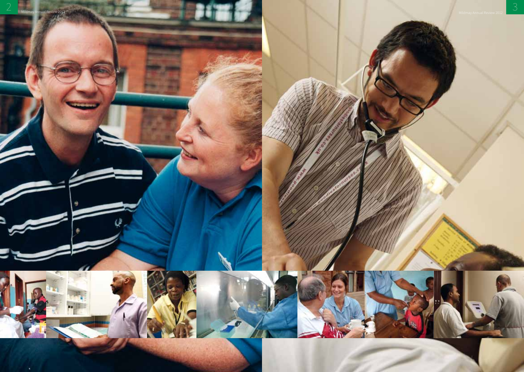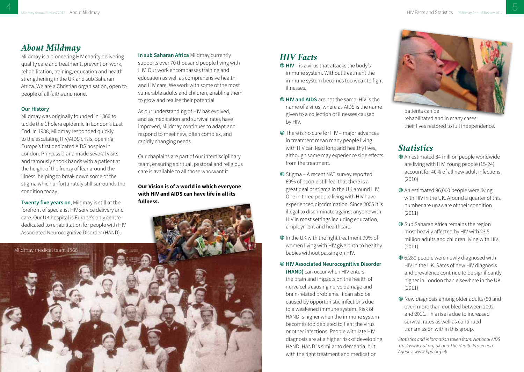## *About Mildmay*

Mildmay is a pioneering HIV charity delivering quality care and treatment, prevention work, rehabilitation, training, education and health strengthening in the UK and sub Saharan Africa. We are a Christian organisation, open to people of all faiths and none.

#### **Our History**

Mildmay was originally founded in 1866 to tackle the Cholera epidemic in London's East End. In 1988, Mildmay responded quickly to the escalating HIV/AIDS crisis, opening Europe's first dedicated AIDS hospice in London. Princess Diana made several visits and famously shook hands with a patient at the height of the frenzy of fear around the illness, helping to break down some of the stigma which unfortunately still surrounds the condition today.

**Twenty five years on**, Mildmay is still at the forefront of specialist HIV service delivery and **In sub Saharan Africa** Mildmay currently supports over 70 thousand people living with HIV. Our work encompasses training and education as well as comprehensive health and HIV care. We work with some of the most vulnerable adults and children, enabling them to grow and realise their potential.

As our understanding of HIV has evolved, and as medication and survival rates have improved, Mildmay continues to adapt and respond to meet new, often complex, and rapidly changing needs.

Our chaplains are part of our interdisciplinary team, ensuring spiritual, pastoral and religious care is available to all those who want it.

#### **Our Vision is of a world in which everyone with HIV and AIDS can have life in all its fullness.**



# *HIV Facts*

 **HIV** – is a virus that attacks the body's immune system. Without treatment the immune system becomes too weak to fight illnesses.

- **HIV and AIDS** are not the same. HIV is the name of a virus, where as AIDS is the name given to a collection of illnesses caused by HIV.
- There is no cure for HIV major advances in treatment mean many people living with HIV can lead long and healthy lives, although some may experience side effects from the treatment.
- Stigma A recent NAT survey reported 69% of people still feel that there is a great deal of stigma in the UK around HIV. One in three people living with HIV have experienced discrimination. Since 2005 it is illegal to discriminate against anyone with HIV in most settings including education, employment and healthcare.
- In the UK with the right treatment 99% of women living with HIV give birth to healthy babies without passing on HIV.
- **HIV Associated Neurocognitive Disorder**

**(HAND)** can occur when HIV enters the brain and impacts on the health of nerve cells causing nerve damage and brain-related problems. It can also be caused by opportunistic infections due to a weakened immune system. Risk of HAND is higher when the immune system becomes too depleted to fight the virus or other infections. People with late HIV diagnosis are at a higher risk of developing HAND. HAND is similar to dementia, but with the right treatment and medication



patients can be rehabilitated and in many cases their lives restored to full independence.

## *Statistics*

- An estimated 34 million people worldwide are living with HIV. Young people (15-24) account for 40% of all new adult infections. (2010)
- An estimated 96,000 people were living with HIV in the UK. Around a quarter of this number are unaware of their condition. (2011)
- Sub Saharan Africa remains the region most heavily affected by HIV with 23.5 million adults and children living with HIV. (2011)
- 6,280 people were newly diagnosed with HIV in the UK. Rates of new HIV diagnosis and prevalence continue to be significantly higher in London than elsewhere in the UK. (2011)
- New diagnosis among older adults (50 and over) more than doubled between 2002 and 2011. This rise is due to increased survival rates as well as continued transmission within this group.

*Statistics and information taken from: National AIDS Trust www.nat.org.uk and The Health Protection Agency: www.hpa.org.uk*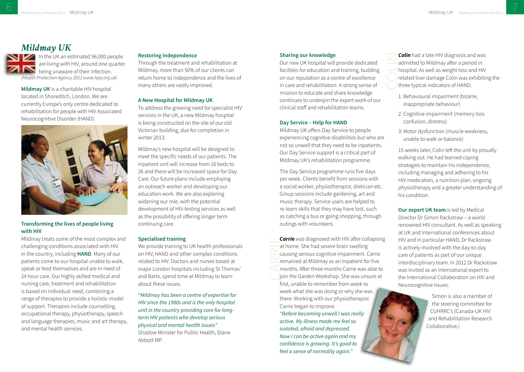## *Mildmay UK*

In the UK an estimated 96,000 people are living with HIV, around one quarter **N** being unaware of their infection. *(Health Protection Agency 2011 www.hpa.org.uk)* 

> **Mildmay UK** is a charitable HIV hospital located in Shoreditch, London. We are currently Europe's only centre dedicated to rehabilitation for people with HIV Associated Neurocognitive Disorder (HAND).



#### **Transforming the lives of people living with HIV**

Mildmay treats some of the most complex and challenging conditions associated with HIV in the country, including **HAND**. Many of our patients come to our hospital unable to walk, speak or feed themselves and are in need of 24 hour care. Our highly skilled medical and nursing care, treatment and rehabilitation is based on individual need, combining a range of therapies to provide a holistic model of support. Therapies include counselling, occupational therapy, physiotherapy, speech and language therapies, music and art therapy, and mental health services.

#### **Restoring Independence**

Through the treatment and rehabilitation at Mildmay, more than 50% of our clients can return home to independence and the lives of many others are vastly improved.

#### **A New Hospital for Mildmay UK**

To address the growing need for specialist HIV services in the UK, a new Mildmay hospital is being constructed on the site of our old Victorian building, due for completion in winter 2013.

Mildmay's new hospital will be designed to meet the specific needs of our patients. The inpatient unit will increase from 16 beds to 26 and there will be increased space for Day Care. Our future plans include employing an outreach worker and developing our education work. We are also exploring widening our role, with the potential development of HIV-testing services as well as the possibility of offering longer term continuing care.

#### **Specialised training**

We provide training to UK health professionals on HIV, HAND and other complex conditions related to HIV. Doctors and nurses based at major London hospitals including St Thomas' and Barts, spend time at Mildmay to learn about these issues.

*"Mildmay has been a centre of expertise for HIV since the 1980s and is the only hospital unit in the country providing care for longterm HIV patients who develop serious physical and mental health issues"* Shadow Minister for Public Health, Diane Abbott MP.

#### **Sharing our knowledge**

Our new UK hospital will provide dedicated facilities for education and training, building on our reputation as a centre of excellence in care and rehabilitation. A strong sense of mission to educate and share knowledge continues to underpin the expert work of our clinical staff and rehabilitation teams.

#### **Day Service – Help for HAND**

Mildmay UK offers Day Service to people experiencing cognitive disabilities but who are not so unwell that they need to be inpatients. Our Day Service support is a critical part of Mildmay UK's rehabilitation programme.

The Day Service programme runs five days per week. Clients benefit from sessions with a social worker, physiotherapist, dietician etc. Group sessions include gardening, art and music therapy. Service users are helped to re-learn skills that they may have lost, such as catching a bus or going shopping, through outings with volunteers.

*Carrie* was diagnosed with HIV after collapsing at home. She had severe brain swelling causing serious cognitive impairment. Carrie remained at Mildmay as an Inpatient for five months. After three months Carrie was able to lioin the Garden Workshop. She was unsure at first, unable to remember from week to week what she was doing or why she was there. Working with our physiotherapist Carrie began to improve. *"Before becoming unwell I was really active. My illness made me feel so isolated, afraid and depressed. Now I can be active again and my*  confidence is growing. It's good to *feel a sense of normality again."*  CARRIE

- *Colin* had a late HIV diagnosis and was admitted to Mildmay after a period in hospital. As well as weight loss and HIV related liver damage Colin was exhibiting the three typical indicators of HAND. COLIN
	- 1: Behavioural impairment (bizarre, inappropriate behaviour)
	- 2: Cognitive impairment (memory loss confusion, distress)
	- 3: Motor dysfunction (muscle weakness, unable to walk or balance)

15 weeks later, Colin left the unit by proudly walking out. He had learned coping strategies to maintain his independence, including managing and adhering to his HIV medication, a nutrition plan, ongoing physiotherapy and a greater understanding of his condition.

**Our expert UK team** is led by Medical Director Dr Simon Rackstraw – a world renowned HIV consultant. As well as speaking at UK and International conferences about HIV and in particular HAND, Dr Rackstraw is actively involved with the day-to-day care of patients as part of our unique interdisciplinary team. In 2012 Dr Rackstraw was invited as an international expert to the International Collaboration on HIV and Neurocognitive Issues.

> Simon is also a member of the steering committee for CUHRRC's (Canada-UK HIV and Rehabilitation Research Collaborative.)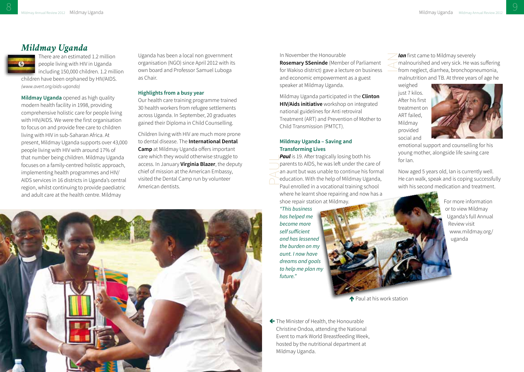## *Mildmay Uganda*



There are an estimated 1.2 million people living with HIV in Uganda including 150,000 children. 1.2 million children have been orphaned by HIV/AIDS. *(www.avert.org/aids-uganda)*

**Mildmay Uganda** opened as high quality modern health facility in 1998, providing comprehensive holistic care for people living with HIV/AIDS. We were the first organisation to focus on and provide free care to children living with HIV in sub-Saharan Africa. At present, Mildmay Uganda supports over 43,000 people living with HIV with around 17% of that number being children. Mildmay Uganda focuses on a family-centred holistic approach, implementing health programmes and HIV/ AIDS services in 16 districts in Uganda's central region, whilst continuing to provide paediatric and adult care at the health centre. Mildmay

Uganda has been a local non government organisation (NGO) since April 2012 with its own board and Professor Samuel Luboga as Chair.

#### **Highlights from a busy year**

Our health care training programme trained 30 health workers from refugee settlements across Uganda. In September, 20 graduates gained their Diploma in Child Counselling.

Children living with HIV are much more prone to dental disease. The **International Dental Camp** at Mildmay Uganda offers important care which they would otherwise struggle to access. In January **Virginia Blazer**, the deputy chief of mission at the American Embassy, visited the Dental Camp run by volunteer American dentists.



In November the Honourable **Rosemary SSeninde** (Member of Parliament for Wakiso district) gave a lecture on business and economic empowerment as a guest speaker at Mildmay Uganda.

Mildmay Uganda participated in the **Clinton HIV/Aids initiative** workshop on integrated national guidelines for Anti retroviral Treatment (ART) and Prevention of Mother to Child Transmission (PMTCT).

#### **Mildmay Uganda – Saving and Transforming Lives**

*Paul* is 19. After tragically losing both his parents to AIDS, he was left under the care of an aunt but was unable to continue his formal education. With the help of Mildmay Uganda, Paul enrolled in a vocational training school where he learnt shoe repairing and now has a shoe repair station at Mildmay. PAUL

*"This business has helped me become more*  self sufficient *and has lessened the burden on my aunt. I now have dreams and goals to help me plan my future."*

*Ian* first came to Mildmay severely malnourished and very sick. He was suffering from neglect, diarrhea, bronchopneumonia, malnutrition and TB. At three years of age he IAN

weighed just 7 kilos. After his first treatment on ART failed, Mildmay provided social and



emotional support and counselling for his young mother, alongside life saving care for Ian.

Now aged 5 years old, Ian is currently well. He can walk, speak and is coping successfully with his second medication and treatment.



 The Minister of Health, the Honourable Christine Ondoa, attending the National Event to mark World Breastfeeding Week, hosted by the nutritional department at Mildmay Uganda.

<sup>↑</sup> Paul at his work station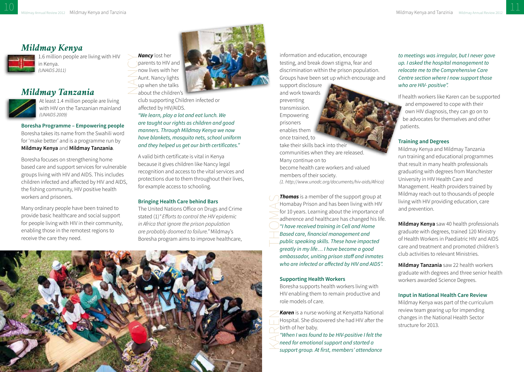## *Mildmay Kenya*



## *Mildmay Tanzania*



At least 1.4 million people are living with HIV on the Tanzanian mainland *(UNAIDS 2009)* 

**Boresha Programme – Empowering people** Boresha takes its name from the Swahili word

for 'make better' and is a programme run by **Mildmay Kenya** and **Mildmay Tanzania**.

Boresha focuses on strengthening home based care and support services for vulnerable groups living with HIV and AIDS. This includes children infected and affected by HIV and AIDS, the fishing community, HIV positive health workers and prisoners.

Many ordinary people have been trained to provide basic healthcare and social support for people living with HIV in their community, enabling those in the remotest regions to receive the care they need.

*Nancy* lost her parents to HIV and now lives with her Aunt. Nancy lights up when she talks about the children's NANCY

> club supporting Children infected or affected by HIV/AIDS. *"We learn, play a lot and eat lunch. We*

*are taught our rights as children and good manners. Through Mildmay Kenya we now have blankets, mosquito nets, school uniform*  and they helped us get our birth certificates."

A valid birth certificate is vital in Kenya because it gives children like Nancy legal recognition and access to the vital services and protections due to them throughout their lives, for example access to schooling.

#### **Bringing Health Care behind Bars**

The United Nations Office on Drugs and Crime stated (1)" Efforts to control the HIV epidemic *in Africa that ignore the prison population are probably doomed to failure."* Mildmay's Boresha program aims to improve healthcare,



information and education, encourage testing, and break down stigma, fear and discrimination within the prison population. Groups have been set up which encourage and

support disclosure and work towards preventing transmission. Empowering prisoners enables them once trained, to take their skills back into their communities when they are released. Many continue on to become health care workers and valued members of their society.

*(1. http://www.unodc.org/documents/hiv-aids/Africa)*

*Thomas* is a member of the support group at Homabay Prison and has been living with HIV for 10 years. Learning about the importance of adherence and healthcare has changed his life. *"I have received training in Cell and Home*  Based care, financial management and *public speaking skills. These have impacted greatly in my life… I have become a good*  ambassador, uniting prison staff and inmates who are infected or affected by HIV and AIDS". THOMAS

#### **Supporting Health Workers**

Boresha supports health workers living with HIV enabling them to remain productive and role models of care.

*Karen* is a nurse working at Kenyatta National Hospital. She discovered she had HIV after the birth of her baby.

*"When I was found to be HIV-positive I felt the need for emotional support and started a*  support group. At first, members' attendance

*to meetings was irregular, but I never gave up. I asked the hospital management to relocate me to the Comprehensive Care Centre section where I now support those who are HIV- positive".* 

If health workers like Karen can be supported and empowered to cope with their own HIV diagnosis, they can go on to be advocates for themselves and other patients.

#### **Training and Degrees**

Mildmay Kenya and Mildmay Tanzania run training and educational programmes that result in many health professionals graduating with degrees from Manchester University in HIV Health Care and Management. Health providers trained by Mildmay reach out to thousands of people living with HIV providing education, care and prevention.

**Mildmay Kenya** saw 40 health professionals graduate with degrees, trained 120 Ministry of Health Workers in Paediatric HIV and AIDS care and treatment and promoted children's club activities to relevant Ministries.

**Mildmay Tanzania** saw 22 health workers graduate with degrees and three senior health workers awarded Science Degrees.

#### **Input in National Health Care Review**

Mildmay Kenya was part of the curriculum review team gearing up for impending changes in the National Health Sector structure for 2013.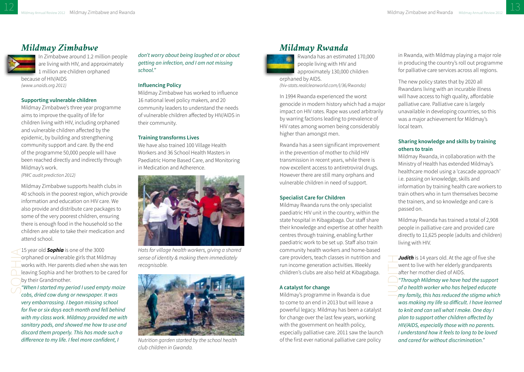### *Mildmay Zimbabwe*



In Zimbabwe around 1.2 million people are living with HIV, and approximately 1 million are children orphaned because of HIV/AIDS *(www.unaids.org 2011)* 

**Supporting vulnerable children** 

#### Mildmay Zimbabwe's three year programme aims to improve the quality of life for children living with HIV, including orphaned and vulnerable children affected by the epidemic, by building and strengthening community support and care. By the end of the programme 50,000 people will have been reached directly and indirectly through Mildmay's work.

*(PWC audit prediction 2012)*

Mildmay Zimbabwe supports health clubs in 40 schools in the poorest region, which provide information and education on HIV care. We also provide and distribute care packages to some of the very poorest children, ensuring there is enough food in the household so the children are able to take their medication and attend school.

15 year old *Sophia* is one of the 3000 orphaned or vulnerable girls that Mildmay works with. Her parents died when she was ten leaving Sophia and her brothers to be cared for by their Grandmother. SOPHIA

*"When I started my period I used empty maize cobs, dried cow dung or newspaper. It was very embarrassing. I began missing school*  for five or six days each month and fell behind *with my class work. Mildmay provided me with sanitary pads, and showed me how to use and discard them properly. This has made such a*  difference to my life. I feel more confident, I

don't worry about being laughed at or about *getting an infection, and I am not missing school."*

#### **Influencing Policy**

Mildmay Zimbabwe has worked to influence 16 national level policy makers, and 20 community leaders to understand the needs of vulnerable children affected by HIV/AIDS in their community.

#### **Training transforms Lives**

We have also trained 100 Village Health Workers and 36 School Health Masters in Paediatric Home Based Care, and Monitoring in Medication and Adherence.



*Hats for village health workers, giving a shared sense of identity & making them immediately recognisable.*



*Nutrition garden started by the school health club children in Gwanda.* 



### *Mildmay Rwanda*

Rwanda has an estimated 170,000 people living with HIV and approximately 130,000 children

orphaned by AIDS. *(hiv-stats.realclearworld.com/l/36/Rwanda)*

In 1994 Rwanda experienced the worst genocide in modern history which had a major impact on HIV rates. Rape was used arbitrarily by warring factions leading to prevalence of HIV rates among women being considerably higher than amongst men.

Rwanda has a seen significant improvement in the prevention of mother to child HIV transmission in recent years, while there is now excellent access to antiretroviral drugs. However there are still many orphans and vulnerable children in need of support.

#### **Specialist Care for Children**

Mildmay Rwanda runs the only specialist paediatric HIV unit in the country, within the state hospital in Kibagabaga. Our staff share their knowledge and expertise at other health centres through training, enabling further paediatric work to be set up. Staff also train community health workers and home-based care providers, teach classes in nutrition and run income generation activities. Weekly children's clubs are also held at Kibagabaga.

#### **A catalyst for change**

Mildmay's programme in Rwanda is due to come to an end in 2013 but will leave a powerful legacy. Mildmay has been a catalyst for change over the last few years, working with the government on health policy, especially palliative care. 2011 saw the launch of the first ever national palliative care policy

in Rwanda, with Mildmay playing a major role in producing the country's roll out programme for palliative care services across all regions.

The new policy states that by 2020 all Rwandans living with an incurable illness will have access to high quality, affordable palliative care. Palliative care is largely unavailable in developing countries, so this was a major achievement for Mildmay's local team.

#### **Sharing knowledge and skills by training others to train**

Mildmay Rwanda, in collaboration with the Ministry of Health has extended Mildmay's healthcare model using a 'cascade approach' i.e. passing on knowledge, skills and information by training health care workers to train others who in turn themselves become the trainers, and so knowledge and care is passed on.

Mildmay Rwanda has trained a total of 2,908 people in palliative care and provided care directly to 11,625 people (adults and children) living with HIV.

*Judith* is 14 years old. At the age of five she went to live with her elderly grandparents after her mother died of AIDS.

*"Through Mildmay we have had the support of a health worker who has helped educate my family, this has reduced the stigma which*  was making my life so difficult. I have learned *to knit and can sell what I make. One day I*  plan to support other children affected by HIV/AIDS, especially those with no parents. *I understand how it feels to long to be loved and cared for without discrimination."*  JUDITH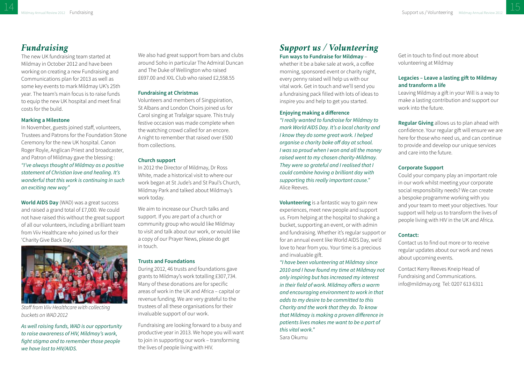## *Fundraising*

The new UK fundraising team started at Mildmay in October 2012 and have been working on creating a new Fundraising and Communications plan for 2013 as well as some key events to mark Mildmay UK's 25th year. The team's main focus is to raise funds to equip the new UK hospital and meet final costs for the build.

#### **Marking a Milestone**

In November, guests joined staff, volunteers, Trustees and Patrons for the Foundation Stone Ceremony for the new UK hospital. Canon Roger Royle, Anglican Priest and broadcaster, and Patron of Mildmay gave the blessing : "I've always thought of Mildmay as a positive statement of Christian love and healing. It's *wonderful that this work is continuing in such an exciting new way"* 

**World AIDS Day** (WAD) was a great success and raised a grand total of £7,000. We could not have raised this without the great support of all our volunteers, including a brilliant team from Viiv Healthcare who joined us for their 'Charity Give Back Day'.



Staff from Viiv Healthcare with collecting *buckets on WAD 2012*

As well raising funds, WAD is our opportunity to raise awareness of HIV, Mildmay's work, fight stigma and to remember those people we have lost to HIV/AIDS.

We also had great support from bars and clubs around Soho in particular The Admiral Duncan and The Duke of Wellington who raised £697.00 and XXL Club who raised £2,558.55

#### **Fundraising at Christmas**

Volunteers and members of Singspiration, St Albans and London Choirs joined us for Carol singing at Trafalgar square. This truly festive occasion was made complete when the watching crowd called for an encore. A night to remember that raised over £500 from collections.

#### **Church support**

In 2012 the Director of Mildmay, Dr Ross White, made a historical visit to where our work began at St Jude's and St Paul's Church, Mildmay Park and talked about Mildmay's work today.

We aim to increase our Church talks and support. If you are part of a church or community group who would like Mildmay to visit and talk about our work, or would like a copy of our Prayer News, please do get in touch.

#### **Trusts and Foundations**

During 2012, 46 trusts and foundations gave grants to Mildmay's work totalling £307,734. Many of these donations are for specific areas of work in the UK and Africa – capital or revenue funding. We are very grateful to the trustees of all these organisations for their invaluable support of our work.

Fundraising are looking forward to a busy and productive year in 2013. We hope you will want to join in supporting our work – transforming the lives of people living with HIV.

### *Support us / Volunteering* **Fun ways to Fundraise for Mildmay** –

whether it be a bake sale at work, a coffee morning, sponsored event or charity night, every penny raised will help us with our vital work. Get in touch and we'll send you a fundraising pack filled with lots of ideas to inspire you and help to get you started.

#### **Enjoying making a difference**

*"I really wanted to fundraise for Mildmay to*  mark World AIDS Day. It's a local charity and *I know they do some great work. I helped*  organise a charity bake off day at school. *I was so proud when I won and all the money raised went to my chosen charity-Mildmay. They were so grateful and I realised that I could combine having a brilliant day with supporting this really important cause."*  Alice Reeves.

**Volunteering** is a fantastic way to gain new experiences, meet new people and support us. From helping at the hospital to shaking a bucket, supporting an event, or with admin and fundraising. Whether it's regular support or for an annual event like World AIDS Day, we'd love to hear from you. Your time is a precious and invaluable gift.

*"I have been volunteering at Mildmay since 2010 and I have found my time at Mildmay not only inspiring but has increased my interest*  in their field of work. Mildmay offers a warm *and encouraging environment to work in that adds to my desire to be committed to this Charity and the work that they do. To know*  that Mildmay is making a proven difference in *patients lives makes me want to be a part of this vital work."* 

Sara Okumu

Get in touch to find out more about volunteering at Mildmay

#### **Legacies – Leave a lasting gift to Mildmay and transform a life**

Leaving Mildmay a gift in your Will is a way to make a lasting contribution and support our work into the future.

**Regular Giving** allows us to plan ahead with confidence. Your regular gift will ensure we are here for those who need us, and can continue to provide and develop our unique services and care into the future.

#### **Corporate Support**

Could your company play an important role in our work whilst meeting your corporate social responsibility needs? We can create a bespoke programme working with you and your team to meet your objectives. Your support will help us to transform the lives of people living with HIV in the UK and Africa.

#### **Contact:**

Contact us to find out more or to receive regular updates about our work and news about upcoming events.

Contact Kerry Reeves Kneip Head of Fundraising and Communications. info@mildmay.org Tel: 0207 613 6311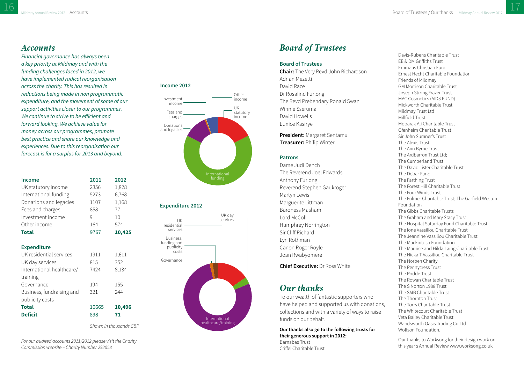### *Accounts*

*Financial governance has always been a key priority at Mildmay and with the funding challenges faced in 2012, we have implemented radical reorganisation across the charity. This has resulted in reductions being made in non programmatic expenditure, and the movement of some of our support activities closer to our programmes.*  We continue to strive to be efficient and *forward looking. We achieve value for money across our programmes, promote best practice and share our knowledge and*  experiences. Due to this reorganisation our *forecast is for a surplus for 2013 and beyond.*

| Income                 | 2011 | 2012  |
|------------------------|------|-------|
| UK statutory income    | 2356 | 1,828 |
| International funding  | 5273 | 6,768 |
| Donations and legacies | 1107 | 1,168 |
| Fees and charges       | 858  | 77    |
| Investment income      | 9    | 10    |
| Other income           | 164  | 574   |
| <b>Total</b>           | 9767 |       |

#### **Expenditure**

| <b>Deficit</b>            | 898   | 71     |
|---------------------------|-------|--------|
| <b>Total</b>              | 10665 | 10,496 |
| publicity costs           |       |        |
| Business, fundraising and | 321   | 244    |
| Governance                | 194   | 155    |
| training                  |       |        |
| International healthcare/ | 7424  | 8,134  |
| UK day services           | 815   | 352    |
| UK residential services   | 1911  | 1,611  |
|                           |       |        |

*Shown in thousands GBP*

**Income 2012**



#### **Expenditure 2012**



# *Board of Trustees*

#### **Board of Trustees**

**Chair:** The Very Revd John Richardson Adrian Mezetti David Race Dr Rosalind Furlong The Revd Prebendary Ronald Swan Winnie Sseruma David Howells Eunice Kasirye

**President:** Margaret Sentamu **Treasurer:** Philip Winter

#### **Patrons**

Dame Judi Dench The Reverend Joel Edwards Anthony Furlong Reverend Stephen Gaukroger Martyn Lewis Marguerite Littman Baroness Masham Lord McColl Humphrey Norrington Sir Cliff Richard Lyn Rothman Canon Roger Royle Joan Rwabyomere

**Chief Executive:** Dr Ross White

## *Our thanks*

To our wealth of fantastic supporters who have helped and supported us with donations, collections and with a variety of ways to raise funds on our behalf.

#### **Our thanks also go to the following trusts for their generous support in 2012:** Barnabas Trust

Criffel Charitable Trust

Davis-Rubens Charitable Trust EE & DM Griffiths Trust Emmaus Christian Fund Ernest Hecht Charitable Foundation Friends of Mildmay GM Morrison Charitable Trust Joseph Strong Frazer Trust MAC Cosmetics (AIDS FUND) Mickworth Charitable Trust Mildmay Trust Ltd Millfield Trust Mobarak Ali Charitable Trust Ofenheim Charitable Trust Sir John Sumner's Trust The Alexis Trust The Ann Byrne Trust The Ardbarron Trust Ltd: The Cumberland Trust The David Lister Charitable Trust The Debar Fund The Farthing Trust The Forest Hill Charitable Trust The Four Winds Trust The Fulmer Charitable Trust; The Garfield Weston Foundation The Gibbs Charitable Trusts The Graham and Mary Stacy Trust The Hospital Saturday Fund Charitable Trust The Ione Vassiliou Charitable Trust The Jeannine Vassiliou Charitable Trust The Mackintosh Foundation The Maurice and Hilda Laing Charitable Trust The Nicka T Vassiliou Charitable Trust The Norben Charity The Pennycress Trust The Podde Trust The Rowan Charitable Trust The S Norton 1988 Trust The SMB Charitable Trust The Thornton Trust The Torrs Charitable Trust The Whitecourt Charitable Trust Veta Bailey Charitable Trust Wandsworth Oasis Trading Co Ltd Wolfson Foundation.

Our thanks to Worksong for their design work on this year's Annual Review www.worksong.co.uk

*For our audited accounts 2011/2012 please visit the Charity Commission website – Charity Number 292058*